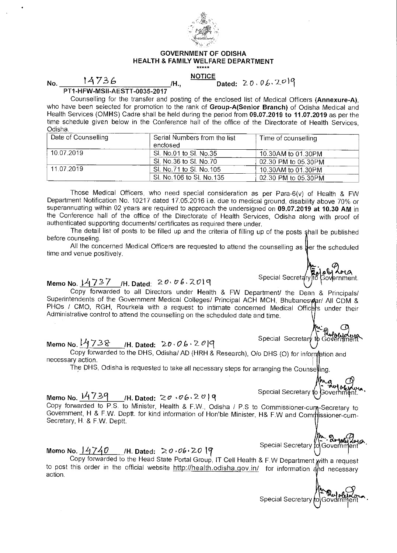

#### GOVERNMENT OF ODISHA HEALTH & FAMILY WELFARE DEPARTMENT

#### NOTICE

### $N_o$   $14736$   $/h$ .

Dated:  $20.06.2099$ 

PT1-HFW-MSII-AESTT-0035-2017

Counselling for the transfer and posting of the enclosed list of Medical Officers (Annexure-A), who have been selected for promotion to the rank of Group-A(Senior Branch) of Odisha Medical and Health Services (OMHS) Cadre shall be held during the period from 09.07.2019 to 11.07.2019 as per the time schedule given below in the Conference hall of the office of the Directorate of Health Services, Odisha.

| Date of Counselling | Serial Numbers from the list<br>enclosed | Time of counselling |
|---------------------|------------------------------------------|---------------------|
| 10.07.2019          | SI. No.01 to SI. No.35                   | 10.30AM to 01.30PM  |
|                     | SI. No 36 to SI. No.70                   | 02.30 PM to 05.30PM |
| 11.07.2019          | SI, No.71 to SI, No.105                  | 10.30AM to 01.30PM  |
|                     | SI. No. 106 to SI. No. 135               | 02.30 PM to 05.30PM |

Those Medical Officers, who need special consideration as per Para-6(v) of Health & FW Department Notification No. 10217 dated 17.05.2016 i.e. due to medical ground, disability above 70% or superannuating within 02 years are required to approach the undersigned on 09.07.2019 at 10.30 AM in the Conference hall of the office of the Directorate of Health Services, Odisha along with proof of authenticated supporting documents/ certificates as required there under.

The detail list of posts to be filled up and the criteria of filling up of the posts shall be published before counseling.

All the concerned Medical Officers are requested to attend the counselling as  $\frac{1}{2}$ er the scheduled time and venue positively.

# Memo No.  $14737$  /H. Dated:  $20.06$ . 2019

Copy forwarded to all Directors under Health & FW Department/ the Dean & Principals/ Superintendents of the Government Medical Colleges/ Principal ACH MCH, Bhubaneswar/ All CDM & PHOs / CMO, RGH, Rourkela with a request to intimate concerned Medical Officers under their Administrative control to attend the counselling on the scheduled date and time.

# Memo No.  $14738$  /H. Dated:  $20.06.20$ |9

Copy forwarded to the DHS, Odisha/ AD (HRH & Research), 0/o DHS (0) for information and necessary action.

The DHS, Odisha is requested to take all necessary steps for arranging the Counseling.

## Memo No. <u>14739 </u>/H. Dated: この <sub>じ</sub>の6、2の19

Copy forwarded to P.S. to Minister, Health & F.W., Odisha / P.S to Commissioner-cum-Secretary to Government, H & F.W. Deptt. for kind information of Hon'ble Minister, H& F.W and Commissioner-cum-Secretary, H. & F.W. Deptt.

#### Memo No.  $14740$  /H. Dated:  $20.062019$

Copy forwarded to the Head State Portal Group, IT Cell Health & F.W Department with a request to post this order in the official website http://health.odisha.gov.in/ for information and necessary action.

Special Secretary to Governm

{**m, g<br>JGovernm** 

Special Secretary to

Special Secretary for

Special Secretary to Governi

Special Secretary

Government.

Bilota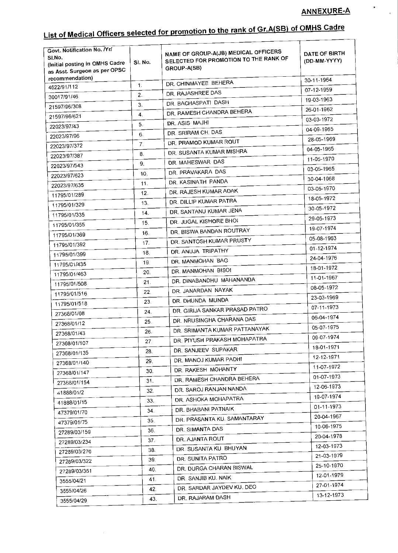$\bullet$ 

 $\frac{1}{\sqrt{2}}$ 

# List of Medical Officers selected for promotion to the rank of Gr.A(SB) of OMHS Cadre

| Govt. Notification No. Nrl<br>SI.No.<br>(Initial posting in OMHS Cadre<br>as Asst. Surgeon as per OPSC | SI. No.          | NAME OF GROUP-A(JB) MEDICAL OFFICERS<br>SELECTED FOR PROMOTION TO THE RANK OF<br>GROUP-A(SB) | DATE OF BIRTH<br>(DD-MM-YYYY) |
|--------------------------------------------------------------------------------------------------------|------------------|----------------------------------------------------------------------------------------------|-------------------------------|
| recommendation)                                                                                        | 1.               | DR. CHINMAYEE BEHERA                                                                         | 30-11-1964                    |
| 4622/91/112                                                                                            | 2.               | DR. RAJASHREE DAS                                                                            | 07-12-1959                    |
| 30017/91/46                                                                                            |                  | DR. BACHASPATI DASH                                                                          | 19-03-1963                    |
| 21597/96/308                                                                                           | 3.               | DR. RAMESH CHANDRA BEHERA                                                                    | 26-01-1962                    |
| 21597/96/621                                                                                           | 4.               | DR. ASIS MAJHI                                                                               | 03-03-1972                    |
| 22023/97/43                                                                                            | 5.               | DR. SRIRAM CH. DAS                                                                           | 04-09-1965                    |
| 22023/97/96                                                                                            | 6.               | DR. PRAMOD KUMAR ROUT                                                                        | 28-05-1969                    |
| 22023/97/372                                                                                           | $\overline{7}$ . | DR. SUSANTA KUMAR MISHRA                                                                     | 04-05-1965                    |
| 22023/97/387                                                                                           | 8.               | DR. MAHESWAR DAS                                                                             | 11-05-1970                    |
| 22023/97/543                                                                                           | 9.               |                                                                                              | 03-05-1965                    |
| 22023/97/623                                                                                           | 10.              | DR. PRAVAKARA DAS                                                                            | 30-04-1968                    |
| 22023/97/635                                                                                           | 11.              | DR. KASINATH PANDA                                                                           | 03-05-1970                    |
| 11795/01/289                                                                                           | 12.              | DR. RAJESH KUMAR ADAK                                                                        | 18-05-1972                    |
| 11795/01/329                                                                                           | 13.              | DR. DILLIP KUMAR PATRA                                                                       | 30-05-1972                    |
| 11795/01/335                                                                                           | 14.              | DR. SANTANU KUMAR JENA                                                                       | 29-05-1973                    |
| 11795/01/355                                                                                           | 15.              | DR. JUGAL KISHORE BHOI                                                                       | 19-07-1974                    |
| 11795/01/369                                                                                           | 16.              | DR. BISWA BANDAN ROUTRAY                                                                     |                               |
| 11795/01/392                                                                                           | 17.              | DR. SANTOSH KUMAR PRUSTY                                                                     | 05-08-1963                    |
| 11795/01/399                                                                                           | 18.              | DR. ANUJA TRIPATHY                                                                           | 01-12-1974                    |
| 11795/01/435                                                                                           | 19.              | DR. MANMOHAN BAG                                                                             | 24-04-1976                    |
| 11795/01/463                                                                                           | 20.              | DR. MANMOHAN BISOI                                                                           | 18-01-1972                    |
| 11795/01/508                                                                                           | 21.              | DR. DINABANDHU MAHANANDA                                                                     | 11-01-1967                    |
| 11795/01/516                                                                                           | 22.              | DR. JANARDAN NAYAK                                                                           | 08-05-1972                    |
| 11795/01/518                                                                                           | 23.              | DR. DHUNDA MUNDA                                                                             | 23-03-1969                    |
| 27368/01/08                                                                                            | 24.              | DR. GIRIJA SANKAR PRASAD PATRO                                                               | 07-11-1973                    |
| 27368/01/12                                                                                            | 25.              | DR. NRUSINGHA CHARANA DAS                                                                    | 06-04-1974                    |
| 27368/01/43                                                                                            | 26.              | DR. SRIMANTA KUMAR PATTANAYAK                                                                | 05-07-1975                    |
| 27368/01/107                                                                                           | 27.              | DR. PIYUSH PRAKASH MOHAPATRA                                                                 | 09-07-1974                    |
| 27368/01/135                                                                                           | 28.              | DR. SANJEEV SUPAKAR                                                                          | 18-01-1971                    |
| 27368/01/140                                                                                           | 29.              | DR. MANOJ KUMAR PADHI                                                                        | 12-12-1971                    |
| 27368/01/147                                                                                           | 30.              | DR. RAKESH MOHANTY                                                                           | 11-07-1972                    |
|                                                                                                        | 31.              | DR. RAMESH CHANDRA BEHERA                                                                    | 01-07-1973                    |
| 27368/01/154                                                                                           | 32.              | DR. SAROJ RANJAN NANDA                                                                       | 12-06-1973                    |
| 41888/01/2                                                                                             | 33.              | DR. ASHOKA MOHAPATRA                                                                         | 19-07-1974                    |
| 41888/01/15                                                                                            | 34.              | DR. BHABANI PATNAIK                                                                          | 01-11-1973                    |
| 47379/01/70                                                                                            | 35.              | DR. PRASANTA KU. SAMANTARAY                                                                  | 20-04-1967                    |
| 47379/01/75                                                                                            | 36.              | DR. SIMANTA DAS                                                                              | 10-06-1975                    |
| 27289/03/159                                                                                           | 37.              | DR. AJANTA ROUT                                                                              | 20-04-1978                    |
| 27289/03/234                                                                                           |                  | DR. SUSANTA KU. BHUYAN                                                                       | 12-03-1973                    |
| 27289/03/276                                                                                           | 38.              | DR. SUNITA PATRO                                                                             | 21-03-1979                    |
| 27289/03/322                                                                                           | 39.              | DR. DURGA CHARAN BISWAL                                                                      | 25-10-1970                    |
| 27289/03/351                                                                                           | 40.              | DR. SANJIB KU. NAIK                                                                          | 12-01-1979                    |
| 3555/04/21                                                                                             | 41.              | DR. SARDAR JAYDEV KU. DEO                                                                    | 27-01-1974                    |
| 3555/04/26                                                                                             | 42.              | DR. RAJARAM DASH                                                                             | 13-12-1973                    |
| 3555/04/29                                                                                             | 43.              |                                                                                              |                               |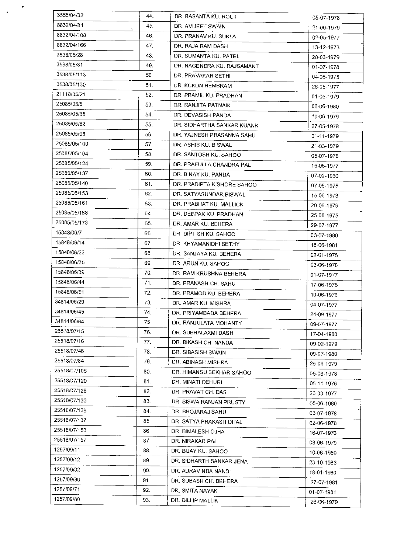| 3555/04/32   | 44.                 | DR. BASANTA KU, ROUT       | 05-07-1978 |
|--------------|---------------------|----------------------------|------------|
| 8832/04/84   | 45.<br>$\mathbf{v}$ | DR. AVIJEET SWAIN          | 21-06-1979 |
| 8832/04/108  | 46.                 | DR. PRANAV KU. SUKLA       | 02-05-1977 |
| 8832/04/166  | 47.                 | DR. RAJA RAM DASH          | 13-12-1973 |
| 3538/05/28   | 48.                 | DR. SUMANTA KU. PATEL      | 28-03-1979 |
| 3538/05/81   | 49.                 | DR. NAGENDRA KU. RAJSAMANT | 01-07-1978 |
| 3538/05/113  | 50.                 | DR. PRAVAKAR SETHI         | 04-06-1975 |
| 3538/05/130  | 51.                 | DR. KCKDN HEMBRAM          | 26-05-1977 |
| 21118/05/21  | 52.                 | DR. PRAMIL KU. PRADHAN     | 01-05-1979 |
| 25085/05/5   | 53.                 | DR. RANJITA PATNAIK        | 06-06-1980 |
| 25085/05/68  | 54.                 | DR. DEVASISH PANDA         | 10-06-1979 |
| 25085/05/82  | 55.                 | DR. SIDHARTHA SANKAR KUANR | 27-05-1978 |
| 25085/05/95  | 56.                 | DR. YAJNESH PRASANNA SAHU  | 01-11-1979 |
| 25085/05/100 | 57.                 | DR. ASHIS KU. BISWAL       | 21-03-1979 |
| 25085/05/104 | 58.                 | DR. SANTOSH KU, SAHOO      | 05-07-1978 |
| 25085/05/124 | 59.                 | DR. PRAFULLA CHANDRA PAL   | 15-06-1977 |
| 25085/05/137 | 60.                 | DR. BINAY KU, PANDA        | 07-02-1960 |
| 25085/05/140 | 61.                 | DR. PRADIPTA KISHORE SAHOO | 07-05-1978 |
| 25085/05/153 | 62.                 | DR. SATYASUNDAR BISWAL     | 15-06-1973 |
| 25085/05/161 | 63.                 | DR. PRABHAT KU, MALLICK    | 20-06-1979 |
| 25085/05/168 | 64.                 | DR. DEEPAK KU, PRADHAN     | 25-08-1975 |
| 25085/05/173 | 65.                 | DR. AMAR KU, BEHERA        | 29-07-1977 |
| 15848/06/7   | 66.                 | DR. DIPTISH KU, SAHOO      | 03-07-1980 |
| 15848/06/14  | 67.                 | DR. KHYAMANIDHI SETHY      | 18-06-1981 |
| 15848/06/22  | 68.                 | DR. SANJAYA KU, BEHERA     | 02-01-1975 |
| 15848/06/35  | 69.                 | DR. ARUN KU, SAHOO         | 03-06-1978 |
| 15848/06/39  | 70.                 | DR. RAM KRUSHNA BEHERA     | 01-07-1977 |
| 15848/06/44  | 71.                 | DR. PRAKASH CH. SAHU       | 17-06-1978 |
| 15848/06/51  | 72.                 | DR. PRAMOD KU, BEHERA      | 10-06-1976 |
| 34814/06/29  | 73.                 | DR. AMAR KU. MISHRA        | 04-07-1977 |
| 34814/06/45  | 74.                 | DR. PRIYAMBADA BEHERA      | 24-09-1977 |
| 34814/06/64  | 75.                 | DR. RANJULATA MOHANTY      | 09-07-1977 |
| 25518/07/15  | 76.                 | DR. SUBHALAXMI DASH        | 17-04-1980 |
| 25518/07/16  | 77.                 | DR. BIKASH CH. NANDA       | 09-02-1979 |
| 25518/07/46  | 78.                 | DR. SIBASISH SWAIN         | 09-07-1980 |
| 25518/07/84  | 79.                 | DR. ABINASH MISHRA         | 25-06-1979 |
| 25518/07/105 | 80.                 | DR. HIMANSU SEKHAR SAHOO   | 05-06-1978 |
| 25518/07/120 | 81.                 | DR. MINATI DEHURI          | 05-11-1976 |
| 25518/07/128 | 82.                 | DR. PRAVAT CH. DAS         | 26-03-1977 |
| 25518/07/133 | 83.                 | DR. BISWA RANJAN PRUSTY    | 05-06-1980 |
| 25518/07/136 | 84.                 | DR. BHOJARAJ SAHU          | 03-07-1978 |
| 25518/07/137 | 85.                 | DR. SATYA PRAKASH DHAL     | 02-06-1978 |
| 25518/07/153 | 86.                 | DR. BIMALESH OJHA          | 16-07-1976 |
| 25518/07/157 | 87.                 | DR. NIRAKAR PAL            | 08-06-1979 |
| 1257/09/11   | 88.                 | DR. BIJAY KU, SAHOO        | 10-06-1980 |
| 1257/09/12   | 89.                 | DR. SIDHARTH SANKAR JENA   | 23-10-1983 |
| 1257/09/32   | 90.                 | DR. AURAVINDA NANDI        | 18-01-1980 |
| 1257/09/36   | 91.                 | DR. SUBASH CH. BEHERA      | 27-07-1981 |
| 1257/09/71   | 92.                 | DR. SMITA NAYAK            | 01-07-1981 |
| 1257/09/80   | 93.                 | DR. DILLIP MALLIK          | 26-06-1979 |
|              |                     |                            |            |

 $\mathcal{O}(\mathcal{F})$  $\frac{1}{\sqrt{2}}$